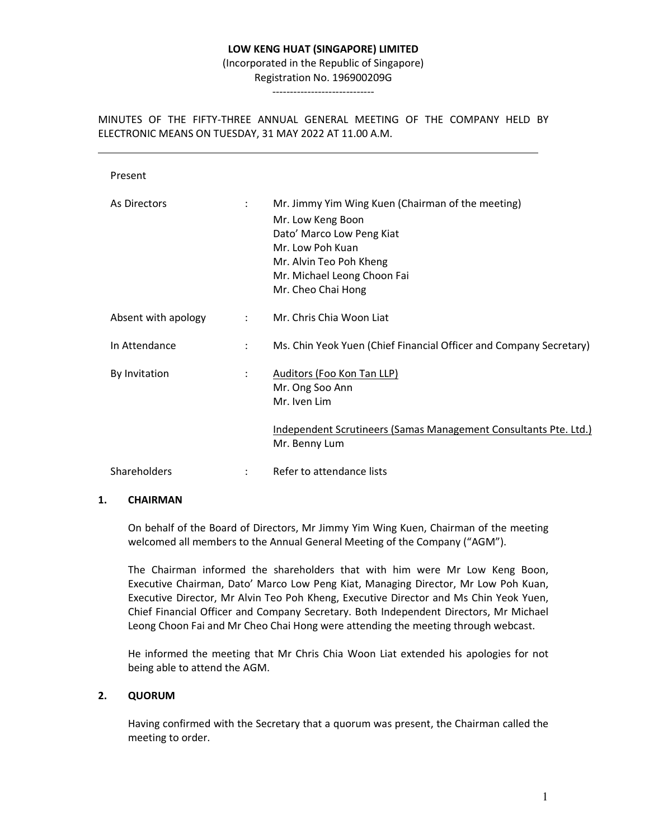### **LOW KENG HUAT (SINGAPORE) LIMITED**

(Incorporated in the Republic of Singapore)

Registration No. 196900209G -----------------------------

MINUTES OF THE FIFTY-THREE ANNUAL GENERAL MEETING OF THE COMPANY HELD BY ELECTRONIC MEANS ON TUESDAY, 31 MAY 2022 AT 11.00 A.M.

| Present             |                      |                                                                                                                                                                                                         |
|---------------------|----------------------|---------------------------------------------------------------------------------------------------------------------------------------------------------------------------------------------------------|
| As Directors        | $\ddot{\phantom{a}}$ | Mr. Jimmy Yim Wing Kuen (Chairman of the meeting)<br>Mr. Low Keng Boon<br>Dato' Marco Low Peng Kiat<br>Mr. Low Poh Kuan<br>Mr. Alvin Teo Poh Kheng<br>Mr. Michael Leong Choon Fai<br>Mr. Cheo Chai Hong |
| Absent with apology | $\ddot{\phantom{a}}$ | Mr. Chris Chia Woon Liat                                                                                                                                                                                |
| In Attendance       | $\ddot{\cdot}$       | Ms. Chin Yeok Yuen (Chief Financial Officer and Company Secretary)                                                                                                                                      |
| By Invitation       | $\ddot{\phantom{a}}$ | Auditors (Foo Kon Tan LLP)<br>Mr. Ong Soo Ann<br>Mr. Iven Lim                                                                                                                                           |
|                     |                      | <u>Independent Scrutineers (Samas Management Consultants Pte. Ltd.)</u><br>Mr. Benny Lum                                                                                                                |
| <b>Shareholders</b> | $\ddot{\phantom{a}}$ | Refer to attendance lists                                                                                                                                                                               |

### **1. CHAIRMAN**

 On behalf of the Board of Directors, Mr Jimmy Yim Wing Kuen, Chairman of the meeting welcomed all members to the Annual General Meeting of the Company ("AGM").

 The Chairman informed the shareholders that with him were Mr Low Keng Boon, Executive Chairman, Dato' Marco Low Peng Kiat, Managing Director, Mr Low Poh Kuan, Executive Director, Mr Alvin Teo Poh Kheng, Executive Director and Ms Chin Yeok Yuen, Chief Financial Officer and Company Secretary. Both Independent Directors, Mr Michael Leong Choon Fai and Mr Cheo Chai Hong were attending the meeting through webcast.

 He informed the meeting that Mr Chris Chia Woon Liat extended his apologies for not being able to attend the AGM.

### **2. QUORUM**

 Having confirmed with the Secretary that a quorum was present, the Chairman called the meeting to order.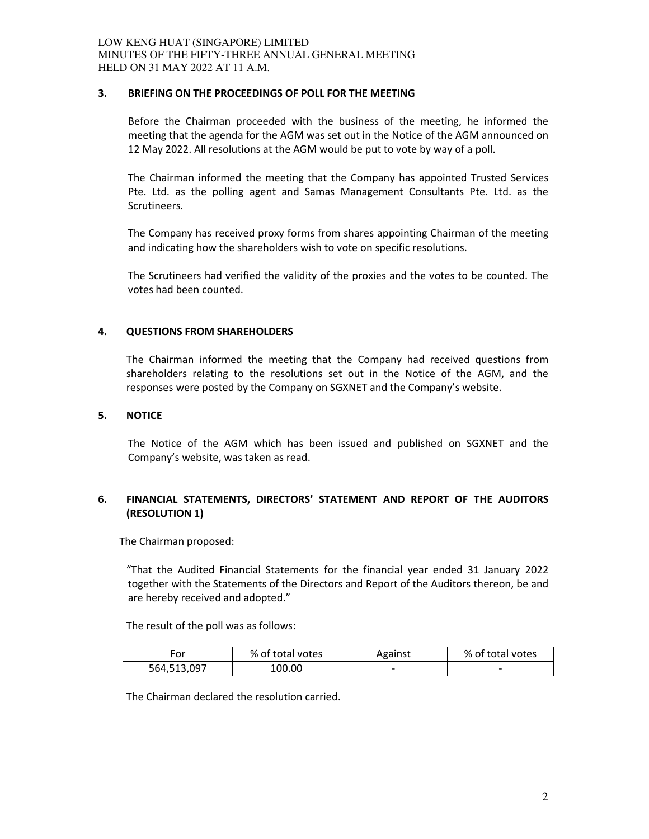## **3. BRIEFING ON THE PROCEEDINGS OF POLL FOR THE MEETING**

Before the Chairman proceeded with the business of the meeting, he informed the meeting that the agenda for the AGM was set out in the Notice of the AGM announced on 12 May 2022. All resolutions at the AGM would be put to vote by way of a poll.

The Chairman informed the meeting that the Company has appointed Trusted Services Pte. Ltd. as the polling agent and Samas Management Consultants Pte. Ltd. as the Scrutineers.

The Company has received proxy forms from shares appointing Chairman of the meeting and indicating how the shareholders wish to vote on specific resolutions.

The Scrutineers had verified the validity of the proxies and the votes to be counted. The votes had been counted.

## **4. QUESTIONS FROM SHAREHOLDERS**

The Chairman informed the meeting that the Company had received questions from shareholders relating to the resolutions set out in the Notice of the AGM, and the responses were posted by the Company on SGXNET and the Company's website.

### **5. NOTICE**

 The Notice of the AGM which has been issued and published on SGXNET and the Company's website, was taken as read.

# **6. FINANCIAL STATEMENTS, DIRECTORS' STATEMENT AND REPORT OF THE AUDITORS (RESOLUTION 1)**

The Chairman proposed:

"That the Audited Financial Statements for the financial year ended 31 January 2022 together with the Statements of the Directors and Report of the Auditors thereon, be and are hereby received and adopted."

The result of the poll was as follows:

| ror         | % of total votes | Against                  | % of total votes         |
|-------------|------------------|--------------------------|--------------------------|
| 564,513,097 | 100.00           | $\overline{\phantom{0}}$ | $\overline{\phantom{0}}$ |

The Chairman declared the resolution carried.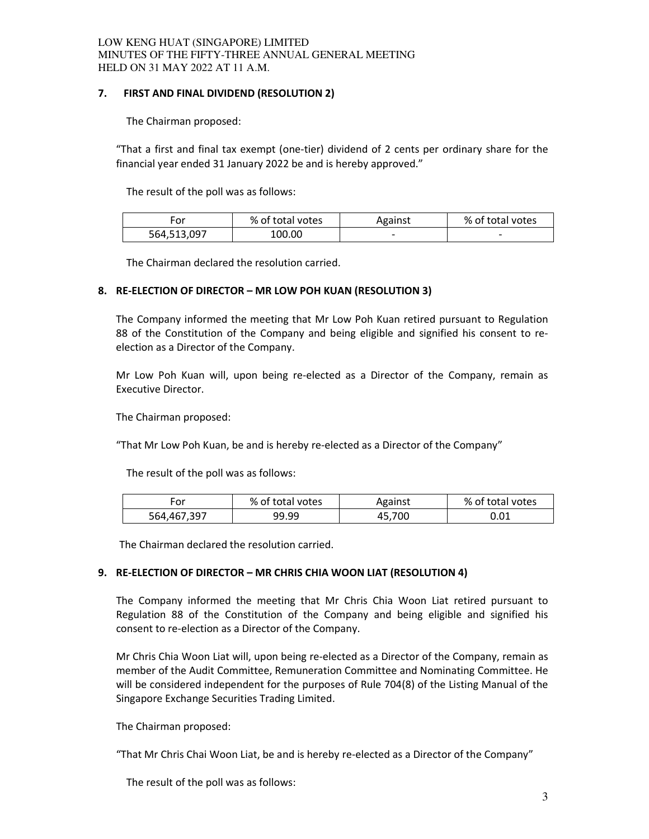## LOW KENG HUAT (SINGAPORE) LIMITED MINUTES OF THE FIFTY-THREE ANNUAL GENERAL MEETING HELD ON 31 MAY 2022 AT 11 A.M.

## **7. FIRST AND FINAL DIVIDEND (RESOLUTION 2)**

The Chairman proposed:

 "That a first and final tax exempt (one-tier) dividend of 2 cents per ordinary share for the financial year ended 31 January 2022 be and is hereby approved."

The result of the poll was as follows:

|             | % of total votes | Against | % of total votes         |
|-------------|------------------|---------|--------------------------|
| 564,513,097 | 100.00           | --      | $\overline{\phantom{0}}$ |

The Chairman declared the resolution carried.

## **8. RE-ELECTION OF DIRECTOR – MR LOW POH KUAN (RESOLUTION 3)**

The Company informed the meeting that Mr Low Poh Kuan retired pursuant to Regulation 88 of the Constitution of the Company and being eligible and signified his consent to reelection as a Director of the Company.

Mr Low Poh Kuan will, upon being re-elected as a Director of the Company, remain as Executive Director.

The Chairman proposed:

"That Mr Low Poh Kuan, be and is hereby re-elected as a Director of the Company"

The result of the poll was as follows:

| For         | % of total votes | Against | % of total votes |
|-------------|------------------|---------|------------------|
| 564,467,397 | 99.99            | 45,700  | 0.01             |

The Chairman declared the resolution carried.

## **9. RE-ELECTION OF DIRECTOR – MR CHRIS CHIA WOON LIAT (RESOLUTION 4)**

The Company informed the meeting that Mr Chris Chia Woon Liat retired pursuant to Regulation 88 of the Constitution of the Company and being eligible and signified his consent to re-election as a Director of the Company.

Mr Chris Chia Woon Liat will, upon being re-elected as a Director of the Company, remain as member of the Audit Committee, Remuneration Committee and Nominating Committee. He will be considered independent for the purposes of Rule 704(8) of the Listing Manual of the Singapore Exchange Securities Trading Limited.

The Chairman proposed:

"That Mr Chris Chai Woon Liat, be and is hereby re-elected as a Director of the Company"

The result of the poll was as follows: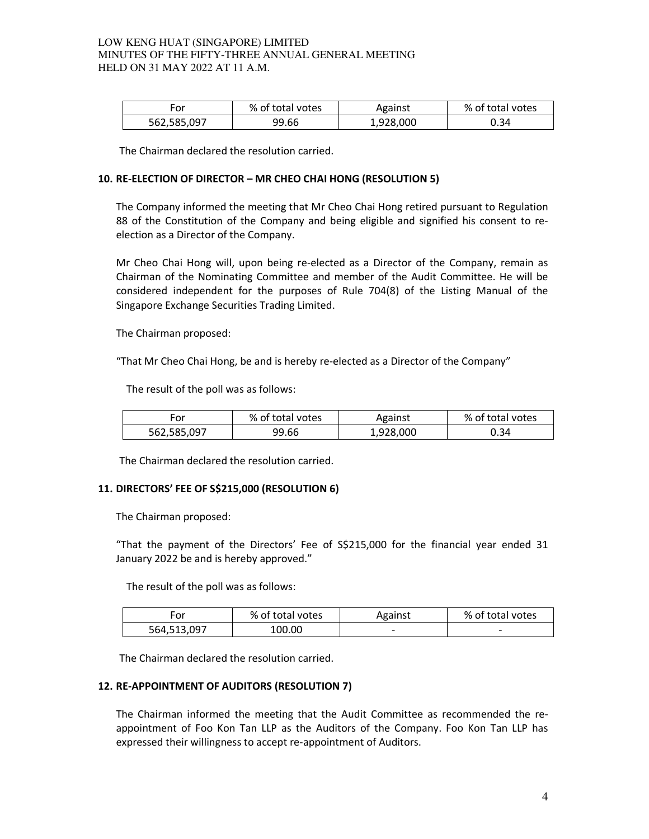### LOW KENG HUAT (SINGAPORE) LIMITED MINUTES OF THE FIFTY-THREE ANNUAL GENERAL MEETING HELD ON 31 MAY 2022 AT 11 A.M.

| ror         | % of total votes | Against   | % of total votes |
|-------------|------------------|-----------|------------------|
| 562,585,097 | 99.66            | 1,928,000 | 0.34             |

The Chairman declared the resolution carried.

## **10. RE-ELECTION OF DIRECTOR – MR CHEO CHAI HONG (RESOLUTION 5)**

The Company informed the meeting that Mr Cheo Chai Hong retired pursuant to Regulation 88 of the Constitution of the Company and being eligible and signified his consent to reelection as a Director of the Company.

Mr Cheo Chai Hong will, upon being re-elected as a Director of the Company, remain as Chairman of the Nominating Committee and member of the Audit Committee. He will be considered independent for the purposes of Rule 704(8) of the Listing Manual of the Singapore Exchange Securities Trading Limited.

The Chairman proposed:

"That Mr Cheo Chai Hong, be and is hereby re-elected as a Director of the Company"

The result of the poll was as follows:

| ror         | % of total votes | Against   | % of total votes |
|-------------|------------------|-----------|------------------|
| 562,585,097 | 99.66            | 1,928,000 | 0.34             |

The Chairman declared the resolution carried.

### **11. DIRECTORS' FEE OF S\$215,000 (RESOLUTION 6)**

The Chairman proposed:

"That the payment of the Directors' Fee of S\$215,000 for the financial year ended 31 January 2022 be and is hereby approved."

The result of the poll was as follows:

| ror         | % of total votes | Against                  | % of total votes         |
|-------------|------------------|--------------------------|--------------------------|
| 564,513,097 | 100.00           | $\overline{\phantom{0}}$ | $\overline{\phantom{0}}$ |

The Chairman declared the resolution carried.

### **12. RE-APPOINTMENT OF AUDITORS (RESOLUTION 7)**

The Chairman informed the meeting that the Audit Committee as recommended the reappointment of Foo Kon Tan LLP as the Auditors of the Company. Foo Kon Tan LLP has expressed their willingness to accept re-appointment of Auditors.